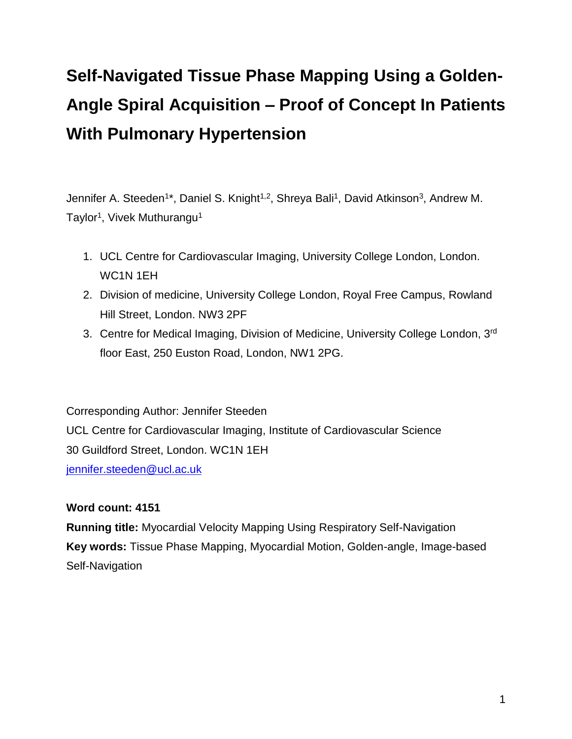# **Self-Navigated Tissue Phase Mapping Using a Golden-Angle Spiral Acquisition – Proof of Concept In Patients With Pulmonary Hypertension**

Jennifer A. Steeden<sup>1\*</sup>, Daniel S. Knight<sup>1,2</sup>, Shreya Bali<sup>1</sup>, David Atkinson<sup>3</sup>, Andrew M. Taylor<sup>1</sup>, Vivek Muthurangu<sup>1</sup>

- 1. UCL Centre for Cardiovascular Imaging, University College London, London. WC1N 1EH
- 2. Division of medicine, University College London, Royal Free Campus, Rowland Hill Street, London. NW3 2PF
- 3. Centre for Medical Imaging, Division of Medicine, University College London, 3rd floor East, 250 Euston Road, London, NW1 2PG.

Corresponding Author: Jennifer Steeden UCL Centre for Cardiovascular Imaging, Institute of Cardiovascular Science 30 Guildford Street, London. WC1N 1EH [jennifer.steeden@ucl.ac.uk](mailto:jennifer.steeden@ucl.ac.uk)

## **Word count: 4151**

**Running title:** Myocardial Velocity Mapping Using Respiratory Self-Navigation **Key words:** Tissue Phase Mapping, Myocardial Motion, Golden-angle, Image-based Self-Navigation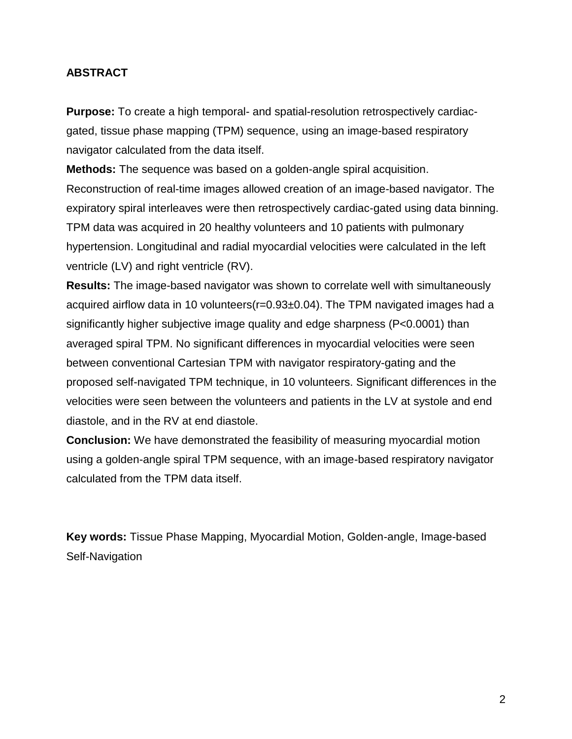## **ABSTRACT**

**Purpose:** To create a high temporal- and spatial-resolution retrospectively cardiacgated, tissue phase mapping (TPM) sequence, using an image-based respiratory navigator calculated from the data itself.

**Methods:** The sequence was based on a golden-angle spiral acquisition. Reconstruction of real-time images allowed creation of an image-based navigator. The expiratory spiral interleaves were then retrospectively cardiac-gated using data binning. TPM data was acquired in 20 healthy volunteers and 10 patients with pulmonary hypertension. Longitudinal and radial myocardial velocities were calculated in the left ventricle (LV) and right ventricle (RV).

**Results:** The image-based navigator was shown to correlate well with simultaneously acquired airflow data in 10 volunteers(r=0.93±0.04). The TPM navigated images had a significantly higher subjective image quality and edge sharpness (P<0.0001) than averaged spiral TPM. No significant differences in myocardial velocities were seen between conventional Cartesian TPM with navigator respiratory-gating and the proposed self-navigated TPM technique, in 10 volunteers. Significant differences in the velocities were seen between the volunteers and patients in the LV at systole and end diastole, and in the RV at end diastole.

**Conclusion:** We have demonstrated the feasibility of measuring myocardial motion using a golden-angle spiral TPM sequence, with an image-based respiratory navigator calculated from the TPM data itself.

**Key words:** Tissue Phase Mapping, Myocardial Motion, Golden-angle, Image-based Self-Navigation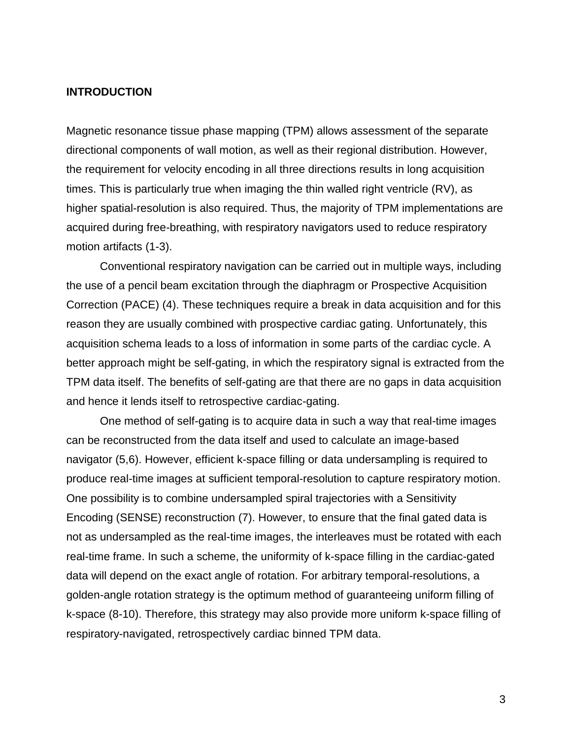#### **INTRODUCTION**

Magnetic resonance tissue phase mapping (TPM) allows assessment of the separate directional components of wall motion, as well as their regional distribution. However, the requirement for velocity encoding in all three directions results in long acquisition times. This is particularly true when imaging the thin walled right ventricle (RV), as higher spatial-resolution is also required. Thus, the majority of TPM implementations are acquired during free-breathing, with respiratory navigators used to reduce respiratory motion artifacts [\(1-3\)](#page-18-0).

Conventional respiratory navigation can be carried out in multiple ways, including the use of a pencil beam excitation through the diaphragm or Prospective Acquisition Correction (PACE) [\(4\)](#page-18-1). These techniques require a break in data acquisition and for this reason they are usually combined with prospective cardiac gating. Unfortunately, this acquisition schema leads to a loss of information in some parts of the cardiac cycle. A better approach might be self-gating, in which the respiratory signal is extracted from the TPM data itself. The benefits of self-gating are that there are no gaps in data acquisition and hence it lends itself to retrospective cardiac-gating.

One method of self-gating is to acquire data in such a way that real-time images can be reconstructed from the data itself and used to calculate an image-based navigator [\(5,](#page-18-2)[6\)](#page-18-3). However, efficient k-space filling or data undersampling is required to produce real-time images at sufficient temporal-resolution to capture respiratory motion. One possibility is to combine undersampled spiral trajectories with a Sensitivity Encoding (SENSE) reconstruction [\(7\)](#page-18-4). However, to ensure that the final gated data is not as undersampled as the real-time images, the interleaves must be rotated with each real-time frame. In such a scheme, the uniformity of k-space filling in the cardiac-gated data will depend on the exact angle of rotation. For arbitrary temporal-resolutions, a golden-angle rotation strategy is the optimum method of guaranteeing uniform filling of k-space [\(8-10\)](#page-18-5). Therefore, this strategy may also provide more uniform k-space filling of respiratory-navigated, retrospectively cardiac binned TPM data.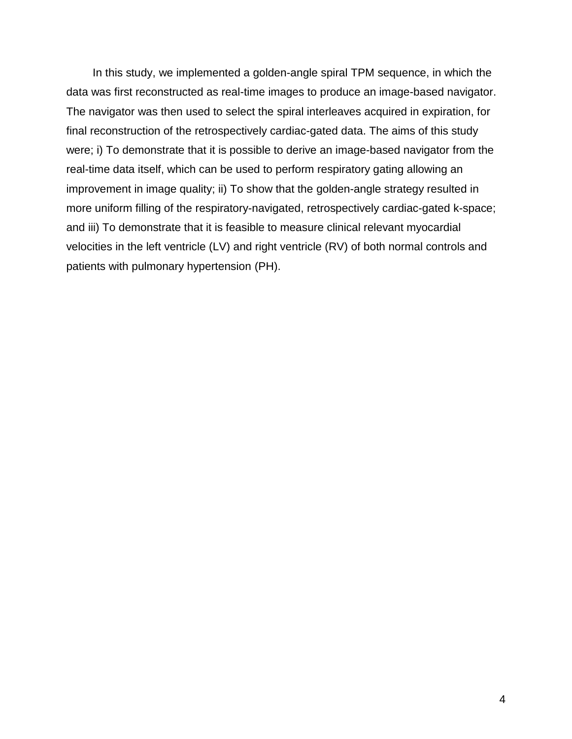In this study, we implemented a golden-angle spiral TPM sequence, in which the data was first reconstructed as real-time images to produce an image-based navigator. The navigator was then used to select the spiral interleaves acquired in expiration, for final reconstruction of the retrospectively cardiac-gated data. The aims of this study were; i) To demonstrate that it is possible to derive an image-based navigator from the real-time data itself, which can be used to perform respiratory gating allowing an improvement in image quality; ii) To show that the golden-angle strategy resulted in more uniform filling of the respiratory-navigated, retrospectively cardiac-gated k-space; and iii) To demonstrate that it is feasible to measure clinical relevant myocardial velocities in the left ventricle (LV) and right ventricle (RV) of both normal controls and patients with pulmonary hypertension (PH).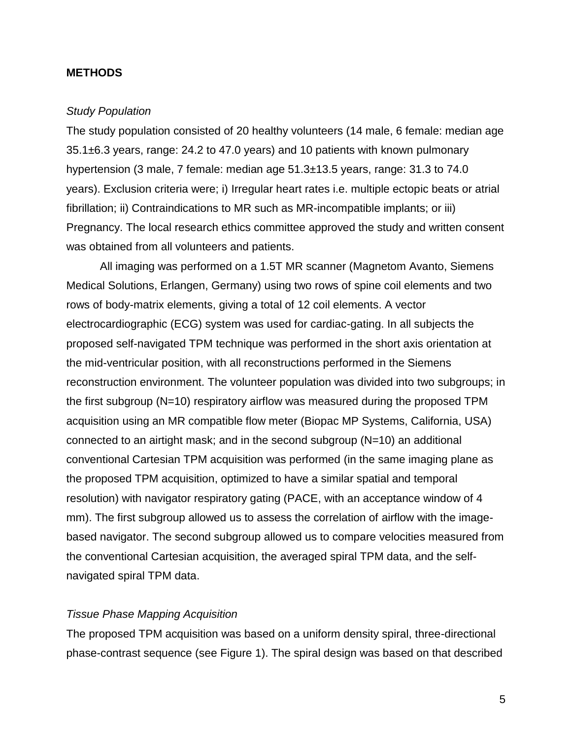#### **METHODS**

#### *Study Population*

The study population consisted of 20 healthy volunteers (14 male, 6 female: median age 35.1±6.3 years, range: 24.2 to 47.0 years) and 10 patients with known pulmonary hypertension (3 male, 7 female: median age 51.3±13.5 years, range: 31.3 to 74.0 years). Exclusion criteria were; i) Irregular heart rates i.e. multiple ectopic beats or atrial fibrillation; ii) Contraindications to MR such as MR-incompatible implants; or iii) Pregnancy. The local research ethics committee approved the study and written consent was obtained from all volunteers and patients.

All imaging was performed on a 1.5T MR scanner (Magnetom Avanto, Siemens Medical Solutions, Erlangen, Germany) using two rows of spine coil elements and two rows of body-matrix elements, giving a total of 12 coil elements. A vector electrocardiographic (ECG) system was used for cardiac-gating. In all subjects the proposed self-navigated TPM technique was performed in the short axis orientation at the mid-ventricular position, with all reconstructions performed in the Siemens reconstruction environment. The volunteer population was divided into two subgroups; in the first subgroup (N=10) respiratory airflow was measured during the proposed TPM acquisition using an MR compatible flow meter (Biopac MP Systems, California, USA) connected to an airtight mask; and in the second subgroup (N=10) an additional conventional Cartesian TPM acquisition was performed (in the same imaging plane as the proposed TPM acquisition, optimized to have a similar spatial and temporal resolution) with navigator respiratory gating (PACE, with an acceptance window of 4 mm). The first subgroup allowed us to assess the correlation of airflow with the imagebased navigator. The second subgroup allowed us to compare velocities measured from the conventional Cartesian acquisition, the averaged spiral TPM data, and the selfnavigated spiral TPM data.

#### *Tissue Phase Mapping Acquisition*

The proposed TPM acquisition was based on a uniform density spiral, three-directional phase-contrast sequence (see [Figure 1\)](#page-27-0). The spiral design was based on that described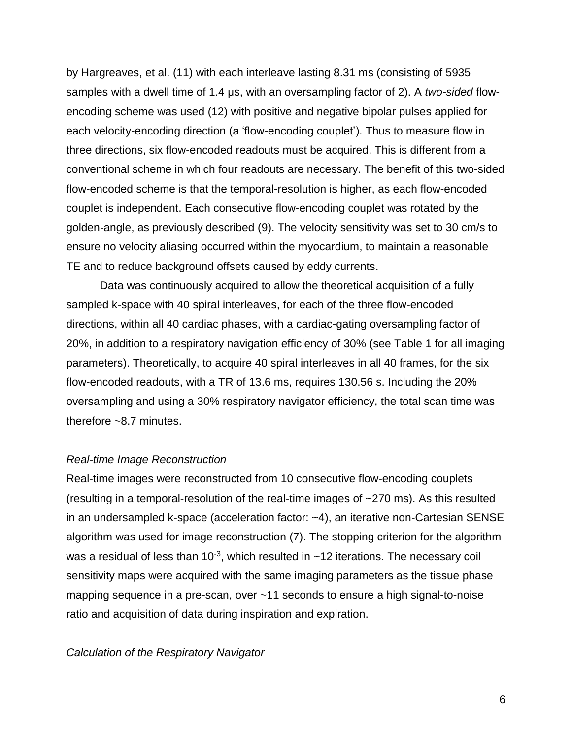by Hargreaves, et al. [\(11\)](#page-19-0) with each interleave lasting 8.31 ms (consisting of 5935 samples with a dwell time of 1.4 μs, with an oversampling factor of 2). A *two-sided* flowencoding scheme was used [\(12\)](#page-19-1) with positive and negative bipolar pulses applied for each velocity-encoding direction (a 'flow-encoding couplet'). Thus to measure flow in three directions, six flow-encoded readouts must be acquired. This is different from a conventional scheme in which four readouts are necessary. The benefit of this two-sided flow-encoded scheme is that the temporal-resolution is higher, as each flow-encoded couplet is independent. Each consecutive flow-encoding couplet was rotated by the golden-angle, as previously described [\(9\)](#page-19-2). The velocity sensitivity was set to 30 cm/s to ensure no velocity aliasing occurred within the myocardium, to maintain a reasonable TE and to reduce background offsets caused by eddy currents.

Data was continuously acquired to allow the theoretical acquisition of a fully sampled k-space with 40 spiral interleaves, for each of the three flow-encoded directions, within all 40 cardiac phases, with a cardiac-gating oversampling factor of 20%, in addition to a respiratory navigation efficiency of 30% (see [Table 1](#page-22-0) for all imaging parameters). Theoretically, to acquire 40 spiral interleaves in all 40 frames, for the six flow-encoded readouts, with a TR of 13.6 ms, requires 130.56 s. Including the 20% oversampling and using a 30% respiratory navigator efficiency, the total scan time was therefore ~8.7 minutes.

#### *Real-time Image Reconstruction*

Real-time images were reconstructed from 10 consecutive flow-encoding couplets (resulting in a temporal-resolution of the real-time images of ~270 ms). As this resulted in an undersampled k-space (acceleration factor: ~4), an iterative non-Cartesian SENSE algorithm was used for image reconstruction [\(7\)](#page-18-4). The stopping criterion for the algorithm was a residual of less than 10 $3$ , which resulted in  $\sim$ 12 iterations. The necessary coil sensitivity maps were acquired with the same imaging parameters as the tissue phase mapping sequence in a pre-scan, over ~11 seconds to ensure a high signal-to-noise ratio and acquisition of data during inspiration and expiration.

#### *Calculation of the Respiratory Navigator*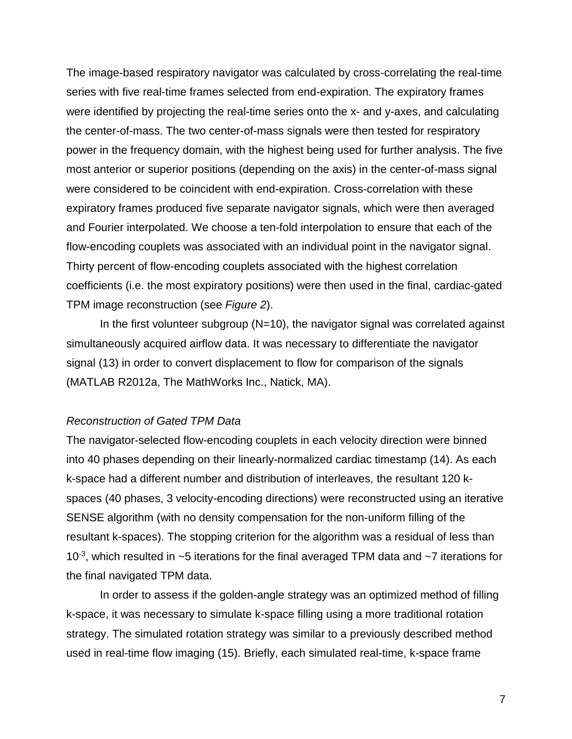The image-based respiratory navigator was calculated by cross-correlating the real-time series with five real-time frames selected from end-expiration. The expiratory frames were identified by projecting the real-time series onto the x- and y-axes, and calculating the center-of-mass. The two center-of-mass signals were then tested for respiratory power in the frequency domain, with the highest being used for further analysis. The five most anterior or superior positions (depending on the axis) in the center-of-mass signal were considered to be coincident with end-expiration. Cross-correlation with these expiratory frames produced five separate navigator signals, which were then averaged and Fourier interpolated. We choose a ten-fold interpolation to ensure that each of the flow-encoding couplets was associated with an individual point in the navigator signal. Thirty percent of flow-encoding couplets associated with the highest correlation coefficients (i.e. the most expiratory positions) were then used in the final, cardiac-gated TPM image reconstruction (see *[Figure 2](#page-27-1)*).

In the first volunteer subgroup  $(N=10)$ , the navigator signal was correlated against simultaneously acquired airflow data. It was necessary to differentiate the navigator signal [\(13\)](#page-19-3) in order to convert displacement to flow for comparison of the signals (MATLAB R2012a, The MathWorks Inc., Natick, MA).

#### *Reconstruction of Gated TPM Data*

The navigator-selected flow-encoding couplets in each velocity direction were binned into 40 phases depending on their linearly-normalized cardiac timestamp [\(14\)](#page-19-4). As each k-space had a different number and distribution of interleaves, the resultant 120 kspaces (40 phases, 3 velocity-encoding directions) were reconstructed using an iterative SENSE algorithm (with no density compensation for the non-uniform filling of the resultant k-spaces). The stopping criterion for the algorithm was a residual of less than 10-3 , which resulted in ~5 iterations for the final averaged TPM data and ~7 iterations for the final navigated TPM data.

In order to assess if the golden-angle strategy was an optimized method of filling k-space, it was necessary to simulate k-space filling using a more traditional rotation strategy. The simulated rotation strategy was similar to a previously described method used in real-time flow imaging [\(15\)](#page-19-5). Briefly, each simulated real-time, k-space frame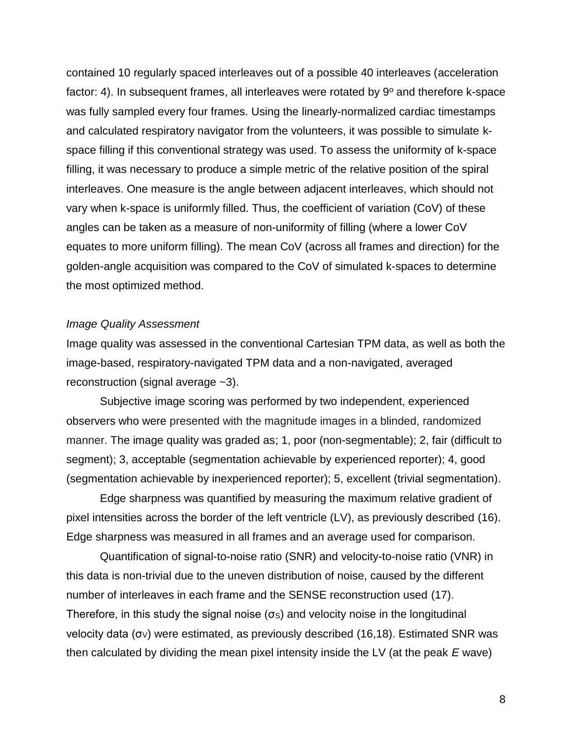contained 10 regularly spaced interleaves out of a possible 40 interleaves (acceleration factor: 4). In subsequent frames, all interleaves were rotated by  $9^{\circ}$  and therefore k-space was fully sampled every four frames. Using the linearly-normalized cardiac timestamps and calculated respiratory navigator from the volunteers, it was possible to simulate kspace filling if this conventional strategy was used. To assess the uniformity of k-space filling, it was necessary to produce a simple metric of the relative position of the spiral interleaves. One measure is the angle between adjacent interleaves, which should not vary when k-space is uniformly filled. Thus, the coefficient of variation (CoV) of these angles can be taken as a measure of non-uniformity of filling (where a lower CoV equates to more uniform filling). The mean CoV (across all frames and direction) for the golden-angle acquisition was compared to the CoV of simulated k-spaces to determine the most optimized method.

#### *Image Quality Assessment*

Image quality was assessed in the conventional Cartesian TPM data, as well as both the image-based, respiratory-navigated TPM data and a non-navigated, averaged reconstruction (signal average ~3).

Subjective image scoring was performed by two independent, experienced observers who were presented with the magnitude images in a blinded, randomized manner. The image quality was graded as; 1, poor (non-segmentable); 2, fair (difficult to segment); 3, acceptable (segmentation achievable by experienced reporter); 4, good (segmentation achievable by inexperienced reporter); 5, excellent (trivial segmentation).

Edge sharpness was quantified by measuring the maximum relative gradient of pixel intensities across the border of the left ventricle (LV), as previously described [\(16\)](#page-19-6). Edge sharpness was measured in all frames and an average used for comparison.

Quantification of signal-to-noise ratio (SNR) and velocity-to-noise ratio (VNR) in this data is non-trivial due to the uneven distribution of noise, caused by the different number of interleaves in each frame and the SENSE reconstruction used [\(17\)](#page-19-7). Therefore, in this study the signal noise  $(\sigma s)$  and velocity noise in the longitudinal velocity data (σ<sub>V</sub>) were estimated, as previously described [\(16](#page-19-6)[,18\)](#page-19-8). Estimated SNR was then calculated by dividing the mean pixel intensity inside the LV (at the peak *E* wave)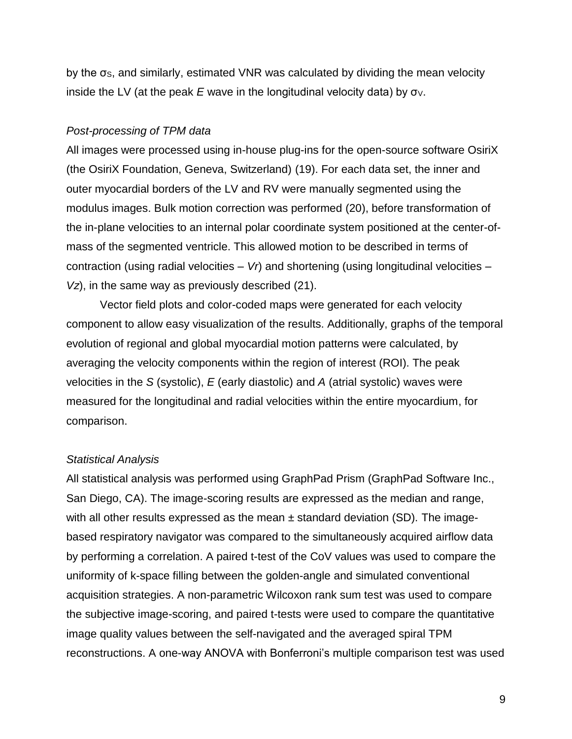by the σ<sub>S</sub>, and similarly, estimated VNR was calculated by dividing the mean velocity inside the LV (at the peak  $E$  wave in the longitudinal velocity data) by  $\sigma_{V}$ .

## *Post-processing of TPM data*

All images were processed using in-house plug-ins for the open-source software OsiriX (the OsiriX Foundation, Geneva, Switzerland) [\(19\)](#page-19-9). For each data set, the inner and outer myocardial borders of the LV and RV were manually segmented using the modulus images. Bulk motion correction was performed [\(20\)](#page-19-10), before transformation of the in-plane velocities to an internal polar coordinate system positioned at the center-ofmass of the segmented ventricle. This allowed motion to be described in terms of contraction (using radial velocities – *Vr*) and shortening (using longitudinal velocities – *Vz*), in the same way as previously described [\(21\)](#page-20-0).

Vector field plots and color-coded maps were generated for each velocity component to allow easy visualization of the results. Additionally, graphs of the temporal evolution of regional and global myocardial motion patterns were calculated, by averaging the velocity components within the region of interest (ROI). The peak velocities in the *S* (systolic), *E* (early diastolic) and *A* (atrial systolic) waves were measured for the longitudinal and radial velocities within the entire myocardium, for comparison.

#### *Statistical Analysis*

All statistical analysis was performed using GraphPad Prism (GraphPad Software Inc., San Diego, CA). The image-scoring results are expressed as the median and range, with all other results expressed as the mean  $\pm$  standard deviation (SD). The imagebased respiratory navigator was compared to the simultaneously acquired airflow data by performing a correlation. A paired t-test of the CoV values was used to compare the uniformity of k-space filling between the golden-angle and simulated conventional acquisition strategies. A non-parametric Wilcoxon rank sum test was used to compare the subjective image-scoring, and paired t-tests were used to compare the quantitative image quality values between the self-navigated and the averaged spiral TPM reconstructions. A one-way ANOVA with Bonferroni's multiple comparison test was used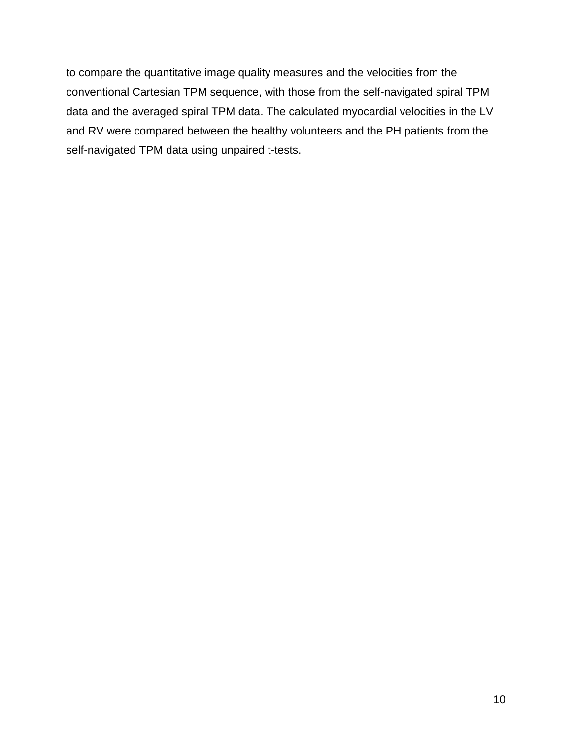to compare the quantitative image quality measures and the velocities from the conventional Cartesian TPM sequence, with those from the self-navigated spiral TPM data and the averaged spiral TPM data. The calculated myocardial velocities in the LV and RV were compared between the healthy volunteers and the PH patients from the self-navigated TPM data using unpaired t-tests.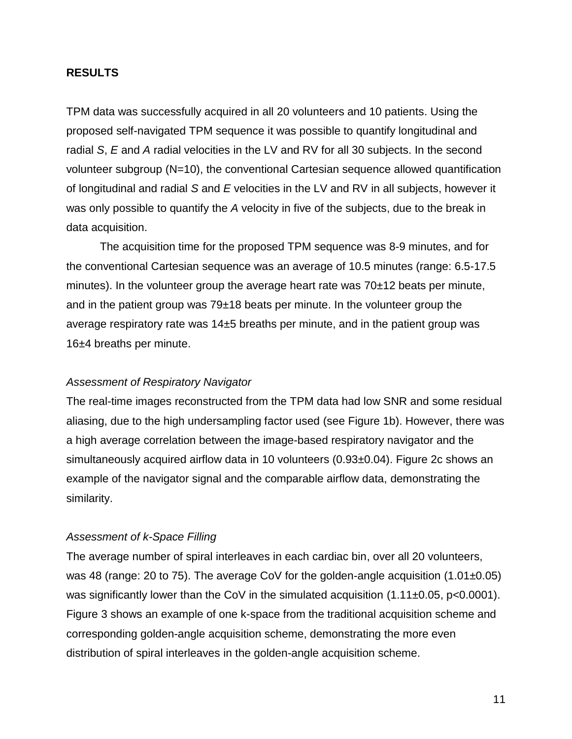#### **RESULTS**

TPM data was successfully acquired in all 20 volunteers and 10 patients. Using the proposed self-navigated TPM sequence it was possible to quantify longitudinal and radial *S*, *E* and *A* radial velocities in the LV and RV for all 30 subjects. In the second volunteer subgroup (N=10), the conventional Cartesian sequence allowed quantification of longitudinal and radial *S* and *E* velocities in the LV and RV in all subjects, however it was only possible to quantify the *A* velocity in five of the subjects, due to the break in data acquisition.

The acquisition time for the proposed TPM sequence was 8-9 minutes, and for the conventional Cartesian sequence was an average of 10.5 minutes (range: 6.5-17.5 minutes). In the volunteer group the average heart rate was  $70\pm12$  beats per minute, and in the patient group was  $79±18$  beats per minute. In the volunteer group the average respiratory rate was 14±5 breaths per minute, and in the patient group was 16±4 breaths per minute.

#### *Assessment of Respiratory Navigator*

The real-time images reconstructed from the TPM data had low SNR and some residual aliasing, due to the high undersampling factor used (see [Figure 1b](#page-27-0)). However, there was a high average correlation between the image-based respiratory navigator and the simultaneously acquired airflow data in 10 volunteers (0.93±0.04). [Figure 2c](#page-27-1) shows an example of the navigator signal and the comparable airflow data, demonstrating the similarity.

## *Assessment of k-Space Filling*

The average number of spiral interleaves in each cardiac bin, over all 20 volunteers, was 48 (range: 20 to 75). The average CoV for the golden-angle acquisition  $(1.01\pm0.05)$ was significantly lower than the CoV in the simulated acquisition  $(1.11\pm0.05, p<0.0001)$ . [Figure 3](#page-27-2) shows an example of one k-space from the traditional acquisition scheme and corresponding golden-angle acquisition scheme, demonstrating the more even distribution of spiral interleaves in the golden-angle acquisition scheme.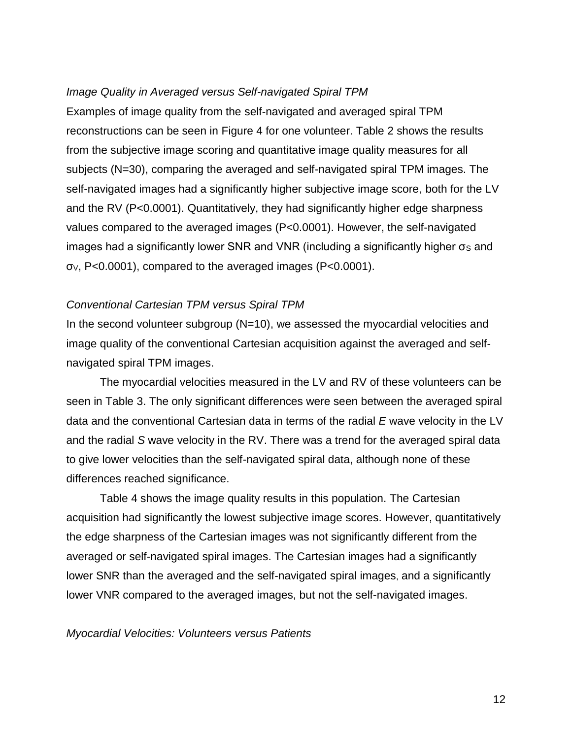#### *Image Quality in Averaged versus Self-navigated Spiral TPM*

Examples of image quality from the self-navigated and averaged spiral TPM reconstructions can be seen in [Figure 4](#page-27-3) for one volunteer. [Table 2](#page-23-0) shows the results from the subjective image scoring and quantitative image quality measures for all subjects (N=30), comparing the averaged and self-navigated spiral TPM images. The self-navigated images had a significantly higher subjective image score, both for the LV and the RV (P<0.0001). Quantitatively, they had significantly higher edge sharpness values compared to the averaged images (P<0.0001). However, the self-navigated  $i$ mages had a significantly lower SNR and VNR (including a significantly higher σs and σV, P<0.0001), compared to the averaged images (P<0.0001).

#### *Conventional Cartesian TPM versus Spiral TPM*

In the second volunteer subgroup (N=10), we assessed the myocardial velocities and image quality of the conventional Cartesian acquisition against the averaged and selfnavigated spiral TPM images.

The myocardial velocities measured in the LV and RV of these volunteers can be seen in [Table 3.](#page-24-0) The only significant differences were seen between the averaged spiral data and the conventional Cartesian data in terms of the radial *E* wave velocity in the LV and the radial *S* wave velocity in the RV. There was a trend for the averaged spiral data to give lower velocities than the self-navigated spiral data, although none of these differences reached significance.

[Table 4](#page-25-0) shows the image quality results in this population. The Cartesian acquisition had significantly the lowest subjective image scores. However, quantitatively the edge sharpness of the Cartesian images was not significantly different from the averaged or self-navigated spiral images. The Cartesian images had a significantly lower SNR than the averaged and the self-navigated spiral images, and a significantly lower VNR compared to the averaged images, but not the self-navigated images.

#### *Myocardial Velocities: Volunteers versus Patients*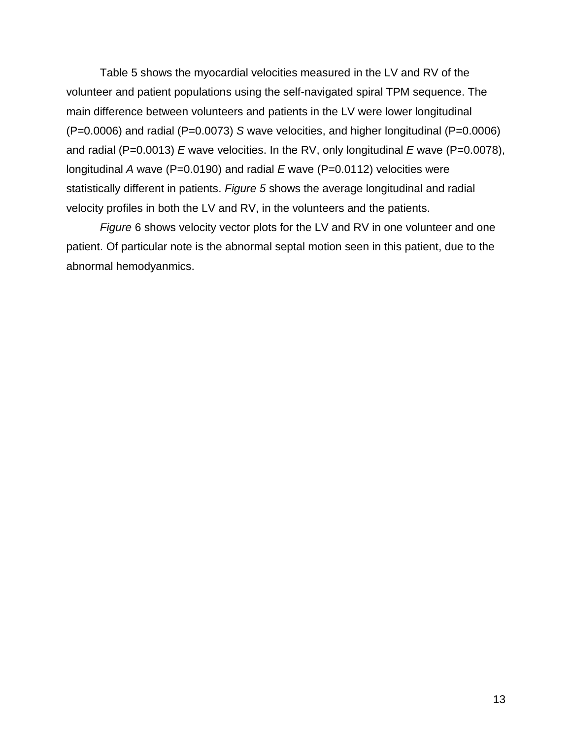[Table 5](#page-26-0) shows the myocardial velocities measured in the LV and RV of the volunteer and patient populations using the self-navigated spiral TPM sequence. The main difference between volunteers and patients in the LV were lower longitudinal (P=0.0006) and radial (P=0.0073) *S* wave velocities, and higher longitudinal (P=0.0006) and radial (P=0.0013) *E* wave velocities. In the RV, only longitudinal *E* wave (P=0.0078), longitudinal *A* wave (P=0.0190) and radial *E* wave (P=0.0112) velocities were statistically different in patients. *[Figure 5](#page-27-4)* shows the average longitudinal and radial velocity profiles in both the LV and RV, in the volunteers and the patients.

*[Figure](#page-27-5)* 6 shows velocity vector plots for the LV and RV in one volunteer and one patient. Of particular note is the abnormal septal motion seen in this patient, due to the abnormal hemodyanmics.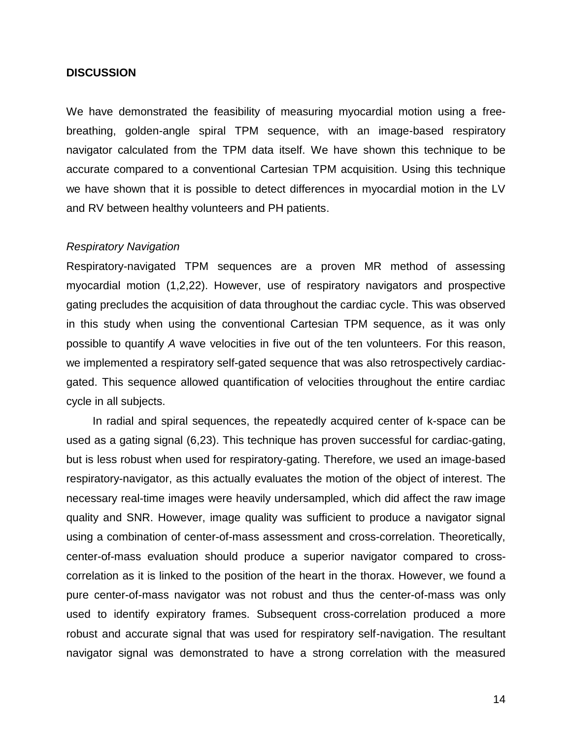#### **DISCUSSION**

We have demonstrated the feasibility of measuring myocardial motion using a freebreathing, golden-angle spiral TPM sequence, with an image-based respiratory navigator calculated from the TPM data itself. We have shown this technique to be accurate compared to a conventional Cartesian TPM acquisition. Using this technique we have shown that it is possible to detect differences in myocardial motion in the LV and RV between healthy volunteers and PH patients.

#### *Respiratory Navigation*

Respiratory-navigated TPM sequences are a proven MR method of assessing myocardial motion [\(1,](#page-18-0)[2,](#page-18-6)[22\)](#page-20-1). However, use of respiratory navigators and prospective gating precludes the acquisition of data throughout the cardiac cycle. This was observed in this study when using the conventional Cartesian TPM sequence, as it was only possible to quantify *A* wave velocities in five out of the ten volunteers. For this reason, we implemented a respiratory self-gated sequence that was also retrospectively cardiacgated. This sequence allowed quantification of velocities throughout the entire cardiac cycle in all subjects.

In radial and spiral sequences, the repeatedly acquired center of k-space can be used as a gating signal [\(6](#page-18-3)[,23\)](#page-20-2). This technique has proven successful for cardiac-gating, but is less robust when used for respiratory-gating. Therefore, we used an image-based respiratory-navigator, as this actually evaluates the motion of the object of interest. The necessary real-time images were heavily undersampled, which did affect the raw image quality and SNR. However, image quality was sufficient to produce a navigator signal using a combination of center-of-mass assessment and cross-correlation. Theoretically, center-of-mass evaluation should produce a superior navigator compared to crosscorrelation as it is linked to the position of the heart in the thorax. However, we found a pure center-of-mass navigator was not robust and thus the center-of-mass was only used to identify expiratory frames. Subsequent cross-correlation produced a more robust and accurate signal that was used for respiratory self-navigation. The resultant navigator signal was demonstrated to have a strong correlation with the measured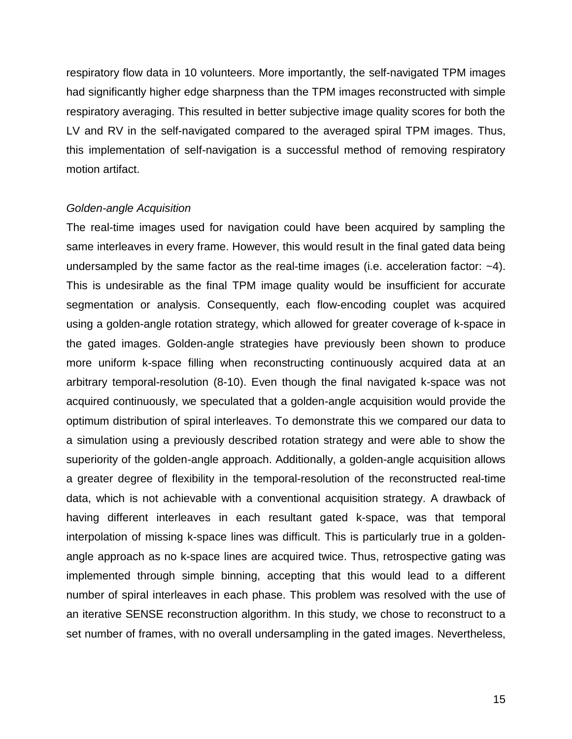respiratory flow data in 10 volunteers. More importantly, the self-navigated TPM images had significantly higher edge sharpness than the TPM images reconstructed with simple respiratory averaging. This resulted in better subjective image quality scores for both the LV and RV in the self-navigated compared to the averaged spiral TPM images. Thus, this implementation of self-navigation is a successful method of removing respiratory motion artifact.

#### *Golden-angle Acquisition*

The real-time images used for navigation could have been acquired by sampling the same interleaves in every frame. However, this would result in the final gated data being undersampled by the same factor as the real-time images (i.e. acceleration factor:  $-4$ ). This is undesirable as the final TPM image quality would be insufficient for accurate segmentation or analysis. Consequently, each flow-encoding couplet was acquired using a golden-angle rotation strategy, which allowed for greater coverage of k-space in the gated images. Golden-angle strategies have previously been shown to produce more uniform k-space filling when reconstructing continuously acquired data at an arbitrary temporal-resolution [\(8-10\)](#page-18-5). Even though the final navigated k-space was not acquired continuously, we speculated that a golden-angle acquisition would provide the optimum distribution of spiral interleaves. To demonstrate this we compared our data to a simulation using a previously described rotation strategy and were able to show the superiority of the golden-angle approach. Additionally, a golden-angle acquisition allows a greater degree of flexibility in the temporal-resolution of the reconstructed real-time data, which is not achievable with a conventional acquisition strategy. A drawback of having different interleaves in each resultant gated k-space, was that temporal interpolation of missing k-space lines was difficult. This is particularly true in a goldenangle approach as no k-space lines are acquired twice. Thus, retrospective gating was implemented through simple binning, accepting that this would lead to a different number of spiral interleaves in each phase. This problem was resolved with the use of an iterative SENSE reconstruction algorithm. In this study, we chose to reconstruct to a set number of frames, with no overall undersampling in the gated images. Nevertheless,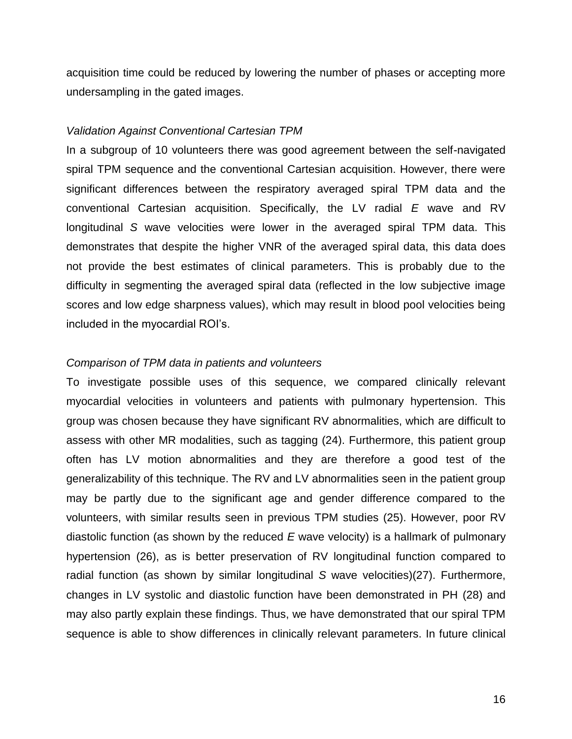acquisition time could be reduced by lowering the number of phases or accepting more undersampling in the gated images.

#### *Validation Against Conventional Cartesian TPM*

In a subgroup of 10 volunteers there was good agreement between the self-navigated spiral TPM sequence and the conventional Cartesian acquisition. However, there were significant differences between the respiratory averaged spiral TPM data and the conventional Cartesian acquisition. Specifically, the LV radial *E* wave and RV longitudinal *S* wave velocities were lower in the averaged spiral TPM data. This demonstrates that despite the higher VNR of the averaged spiral data, this data does not provide the best estimates of clinical parameters. This is probably due to the difficulty in segmenting the averaged spiral data (reflected in the low subjective image scores and low edge sharpness values), which may result in blood pool velocities being included in the myocardial ROI's.

#### *Comparison of TPM data in patients and volunteers*

To investigate possible uses of this sequence, we compared clinically relevant myocardial velocities in volunteers and patients with pulmonary hypertension. This group was chosen because they have significant RV abnormalities, which are difficult to assess with other MR modalities, such as tagging [\(24\)](#page-20-3). Furthermore, this patient group often has LV motion abnormalities and they are therefore a good test of the generalizability of this technique. The RV and LV abnormalities seen in the patient group may be partly due to the significant age and gender difference compared to the volunteers, with similar results seen in previous TPM studies [\(25\)](#page-20-4). However, poor RV diastolic function (as shown by the reduced *E* wave velocity) is a hallmark of pulmonary hypertension [\(26\)](#page-20-5), as is better preservation of RV longitudinal function compared to radial function (as shown by similar longitudinal *S* wave velocities)[\(27\)](#page-20-6). Furthermore, changes in LV systolic and diastolic function have been demonstrated in PH [\(28\)](#page-20-7) and may also partly explain these findings. Thus, we have demonstrated that our spiral TPM sequence is able to show differences in clinically relevant parameters. In future clinical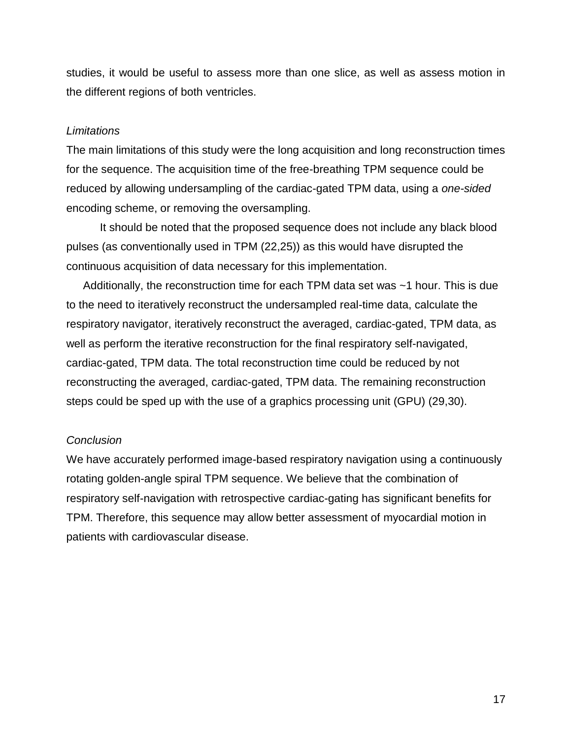studies, it would be useful to assess more than one slice, as well as assess motion in the different regions of both ventricles.

## *Limitations*

The main limitations of this study were the long acquisition and long reconstruction times for the sequence. The acquisition time of the free-breathing TPM sequence could be reduced by allowing undersampling of the cardiac-gated TPM data, using a *one-sided* encoding scheme, or removing the oversampling.

It should be noted that the proposed sequence does not include any black blood pulses (as conventionally used in TPM [\(22](#page-20-1)[,25\)](#page-20-4)) as this would have disrupted the continuous acquisition of data necessary for this implementation.

Additionally, the reconstruction time for each TPM data set was ~1 hour. This is due to the need to iteratively reconstruct the undersampled real-time data, calculate the respiratory navigator, iteratively reconstruct the averaged, cardiac-gated, TPM data, as well as perform the iterative reconstruction for the final respiratory self-navigated, cardiac-gated, TPM data. The total reconstruction time could be reduced by not reconstructing the averaged, cardiac-gated, TPM data. The remaining reconstruction steps could be sped up with the use of a graphics processing unit (GPU) [\(29](#page-21-0)[,30\)](#page-21-1).

## *Conclusion*

We have accurately performed image-based respiratory navigation using a continuously rotating golden-angle spiral TPM sequence. We believe that the combination of respiratory self-navigation with retrospective cardiac-gating has significant benefits for TPM. Therefore, this sequence may allow better assessment of myocardial motion in patients with cardiovascular disease.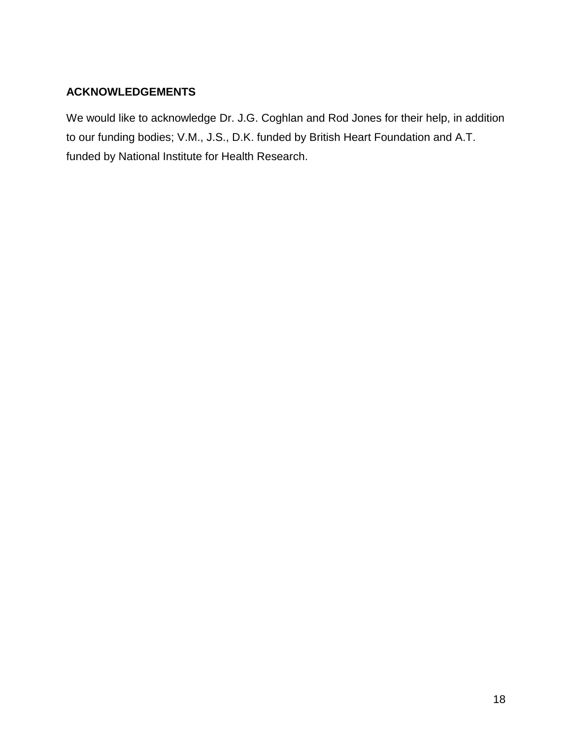## **ACKNOWLEDGEMENTS**

We would like to acknowledge Dr. J.G. Coghlan and Rod Jones for their help, in addition to our funding bodies; V.M., J.S., D.K. funded by British Heart Foundation and A.T. funded by National Institute for Health Research.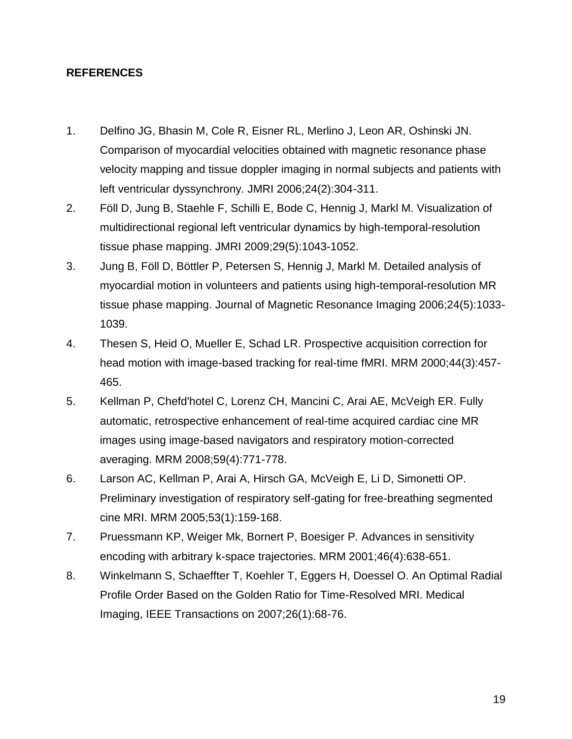## **REFERENCES**

- <span id="page-18-0"></span>1. Delfino JG, Bhasin M, Cole R, Eisner RL, Merlino J, Leon AR, Oshinski JN. Comparison of myocardial velocities obtained with magnetic resonance phase velocity mapping and tissue doppler imaging in normal subjects and patients with left ventricular dyssynchrony. JMRI 2006;24(2):304-311.
- <span id="page-18-6"></span>2. Föll D, Jung B, Staehle F, Schilli E, Bode C, Hennig J, Markl M. Visualization of multidirectional regional left ventricular dynamics by high-temporal-resolution tissue phase mapping. JMRI 2009;29(5):1043-1052.
- 3. Jung B, Föll D, Böttler P, Petersen S, Hennig J, Markl M. Detailed analysis of myocardial motion in volunteers and patients using high-temporal-resolution MR tissue phase mapping. Journal of Magnetic Resonance Imaging 2006;24(5):1033- 1039.
- <span id="page-18-1"></span>4. Thesen S, Heid O, Mueller E, Schad LR. Prospective acquisition correction for head motion with image-based tracking for real-time fMRI. MRM 2000;44(3):457- 465.
- <span id="page-18-2"></span>5. Kellman P, Chefd'hotel C, Lorenz CH, Mancini C, Arai AE, McVeigh ER. Fully automatic, retrospective enhancement of real-time acquired cardiac cine MR images using image-based navigators and respiratory motion-corrected averaging. MRM 2008;59(4):771-778.
- <span id="page-18-3"></span>6. Larson AC, Kellman P, Arai A, Hirsch GA, McVeigh E, Li D, Simonetti OP. Preliminary investigation of respiratory self-gating for free-breathing segmented cine MRI. MRM 2005;53(1):159-168.
- <span id="page-18-4"></span>7. Pruessmann KP, Weiger Mk, Bornert P, Boesiger P. Advances in sensitivity encoding with arbitrary k-space trajectories. MRM 2001;46(4):638-651.
- <span id="page-18-5"></span>8. Winkelmann S, Schaeffter T, Koehler T, Eggers H, Doessel O. An Optimal Radial Profile Order Based on the Golden Ratio for Time-Resolved MRI. Medical Imaging, IEEE Transactions on 2007;26(1):68-76.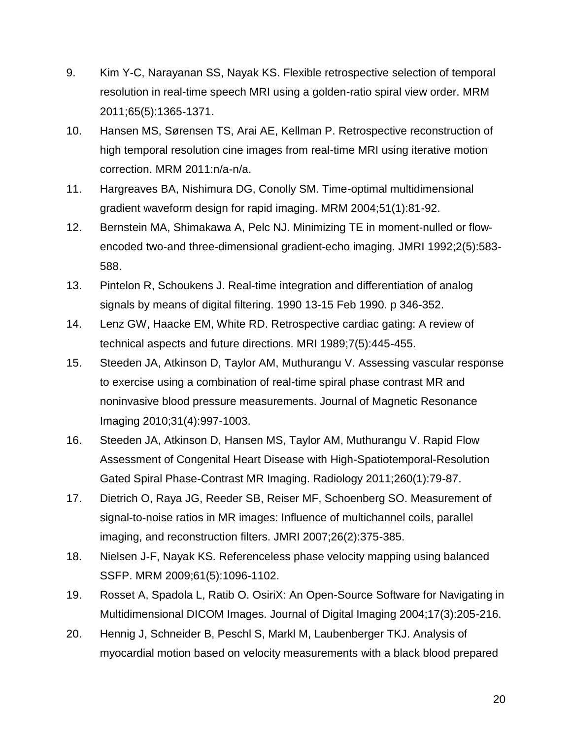- <span id="page-19-2"></span>9. Kim Y-C, Narayanan SS, Nayak KS. Flexible retrospective selection of temporal resolution in real-time speech MRI using a golden-ratio spiral view order. MRM 2011;65(5):1365-1371.
- 10. Hansen MS, Sørensen TS, Arai AE, Kellman P. Retrospective reconstruction of high temporal resolution cine images from real-time MRI using iterative motion correction. MRM 2011:n/a-n/a.
- <span id="page-19-0"></span>11. Hargreaves BA, Nishimura DG, Conolly SM. Time-optimal multidimensional gradient waveform design for rapid imaging. MRM 2004;51(1):81-92.
- <span id="page-19-1"></span>12. Bernstein MA, Shimakawa A, Pelc NJ. Minimizing TE in moment-nulled or flowencoded two-and three-dimensional gradient-echo imaging. JMRI 1992;2(5):583- 588.
- <span id="page-19-3"></span>13. Pintelon R, Schoukens J. Real-time integration and differentiation of analog signals by means of digital filtering. 1990 13-15 Feb 1990. p 346-352.
- <span id="page-19-4"></span>14. Lenz GW, Haacke EM, White RD. Retrospective cardiac gating: A review of technical aspects and future directions. MRI 1989;7(5):445-455.
- <span id="page-19-5"></span>15. Steeden JA, Atkinson D, Taylor AM, Muthurangu V. Assessing vascular response to exercise using a combination of real-time spiral phase contrast MR and noninvasive blood pressure measurements. Journal of Magnetic Resonance Imaging 2010;31(4):997-1003.
- <span id="page-19-6"></span>16. Steeden JA, Atkinson D, Hansen MS, Taylor AM, Muthurangu V. Rapid Flow Assessment of Congenital Heart Disease with High-Spatiotemporal-Resolution Gated Spiral Phase-Contrast MR Imaging. Radiology 2011;260(1):79-87.
- <span id="page-19-7"></span>17. Dietrich O, Raya JG, Reeder SB, Reiser MF, Schoenberg SO. Measurement of signal-to-noise ratios in MR images: Influence of multichannel coils, parallel imaging, and reconstruction filters. JMRI 2007;26(2):375-385.
- <span id="page-19-8"></span>18. Nielsen J-F, Nayak KS. Referenceless phase velocity mapping using balanced SSFP. MRM 2009;61(5):1096-1102.
- <span id="page-19-9"></span>19. Rosset A, Spadola L, Ratib O. OsiriX: An Open-Source Software for Navigating in Multidimensional DICOM Images. Journal of Digital Imaging 2004;17(3):205-216.
- <span id="page-19-10"></span>20. Hennig J, Schneider B, Peschl S, Markl M, Laubenberger TKJ. Analysis of myocardial motion based on velocity measurements with a black blood prepared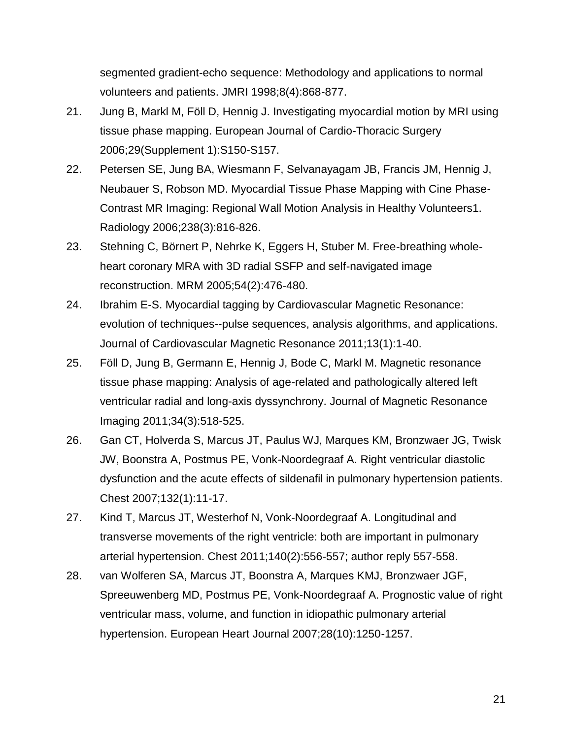segmented gradient-echo sequence: Methodology and applications to normal volunteers and patients. JMRI 1998;8(4):868-877.

- <span id="page-20-0"></span>21. Jung B, Markl M, Föll D, Hennig J. Investigating myocardial motion by MRI using tissue phase mapping. European Journal of Cardio-Thoracic Surgery 2006;29(Supplement 1):S150-S157.
- <span id="page-20-1"></span>22. Petersen SE, Jung BA, Wiesmann F, Selvanayagam JB, Francis JM, Hennig J, Neubauer S, Robson MD. Myocardial Tissue Phase Mapping with Cine Phase-Contrast MR Imaging: Regional Wall Motion Analysis in Healthy Volunteers1. Radiology 2006;238(3):816-826.
- <span id="page-20-2"></span>23. Stehning C, Börnert P, Nehrke K, Eggers H, Stuber M. Free-breathing wholeheart coronary MRA with 3D radial SSFP and self-navigated image reconstruction. MRM 2005;54(2):476-480.
- <span id="page-20-3"></span>24. Ibrahim E-S. Myocardial tagging by Cardiovascular Magnetic Resonance: evolution of techniques--pulse sequences, analysis algorithms, and applications. Journal of Cardiovascular Magnetic Resonance 2011;13(1):1-40.
- <span id="page-20-4"></span>25. Föll D, Jung B, Germann E, Hennig J, Bode C, Markl M. Magnetic resonance tissue phase mapping: Analysis of age-related and pathologically altered left ventricular radial and long-axis dyssynchrony. Journal of Magnetic Resonance Imaging 2011;34(3):518-525.
- <span id="page-20-5"></span>26. Gan CT, Holverda S, Marcus JT, Paulus WJ, Marques KM, Bronzwaer JG, Twisk JW, Boonstra A, Postmus PE, Vonk-Noordegraaf A. Right ventricular diastolic dysfunction and the acute effects of sildenafil in pulmonary hypertension patients. Chest 2007;132(1):11-17.
- <span id="page-20-6"></span>27. Kind T, Marcus JT, Westerhof N, Vonk-Noordegraaf A. Longitudinal and transverse movements of the right ventricle: both are important in pulmonary arterial hypertension. Chest 2011;140(2):556-557; author reply 557-558.
- <span id="page-20-7"></span>28. van Wolferen SA, Marcus JT, Boonstra A, Marques KMJ, Bronzwaer JGF, Spreeuwenberg MD, Postmus PE, Vonk-Noordegraaf A. Prognostic value of right ventricular mass, volume, and function in idiopathic pulmonary arterial hypertension. European Heart Journal 2007;28(10):1250-1257.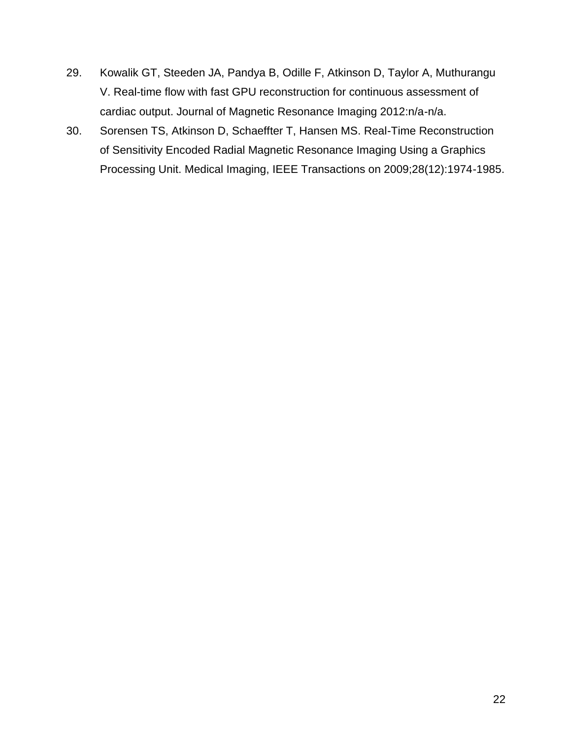- <span id="page-21-0"></span>29. Kowalik GT, Steeden JA, Pandya B, Odille F, Atkinson D, Taylor A, Muthurangu V. Real-time flow with fast GPU reconstruction for continuous assessment of cardiac output. Journal of Magnetic Resonance Imaging 2012:n/a-n/a.
- <span id="page-21-1"></span>30. Sorensen TS, Atkinson D, Schaeffter T, Hansen MS. Real-Time Reconstruction of Sensitivity Encoded Radial Magnetic Resonance Imaging Using a Graphics Processing Unit. Medical Imaging, IEEE Transactions on 2009;28(12):1974-1985.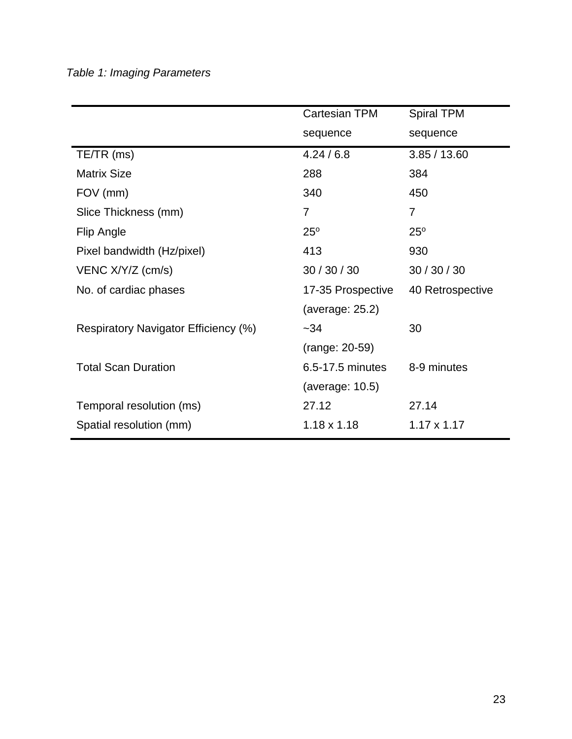## <span id="page-22-0"></span>*Table 1: Imaging Parameters*

|                                      | <b>Cartesian TPM</b> | <b>Spiral TPM</b>  |
|--------------------------------------|----------------------|--------------------|
|                                      | sequence             | sequence           |
| $TE/TR$ (ms)                         | 4.24/6.8             | 3.85/13.60         |
| <b>Matrix Size</b>                   | 288                  | 384                |
| FOV (mm)                             | 340                  | 450                |
| Slice Thickness (mm)                 | 7                    | 7                  |
| Flip Angle                           | $25^{\circ}$         | $25^\circ$         |
| Pixel bandwidth (Hz/pixel)           | 413                  | 930                |
| VENC X/Y/Z (cm/s)                    | 30/30/30             | 30/30/30           |
| No. of cardiac phases                | 17-35 Prospective    | 40 Retrospective   |
|                                      | (average: 25.2)      |                    |
| Respiratory Navigator Efficiency (%) | $-34$                | 30                 |
|                                      | (range: 20-59)       |                    |
| <b>Total Scan Duration</b>           | 6.5-17.5 minutes     | 8-9 minutes        |
|                                      | (average: $10.5$ )   |                    |
| Temporal resolution (ms)             | 27.12                | 27.14              |
| Spatial resolution (mm)              | $1.18 \times 1.18$   | $1.17 \times 1.17$ |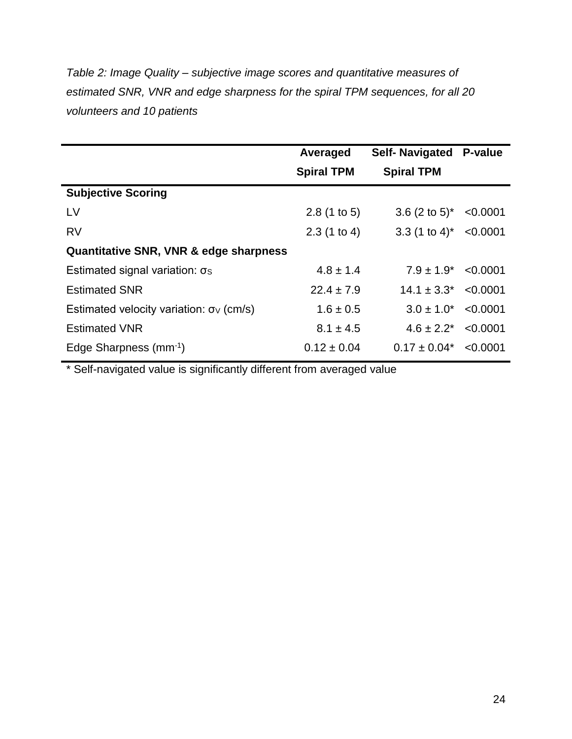<span id="page-23-0"></span>*Table 2: Image Quality – subjective image scores and quantitative measures of estimated SNR, VNR and edge sharpness for the spiral TPM sequences, for all 20 volunteers and 10 patients*

|                                                   | Averaged          | <b>Self-Navigated</b>       | P-value  |
|---------------------------------------------------|-------------------|-----------------------------|----------|
|                                                   | <b>Spiral TPM</b> | <b>Spiral TPM</b>           |          |
| <b>Subjective Scoring</b>                         |                   |                             |          |
| LV                                                | 2.8(1 to 5)       | 3.6 $(2 \text{ to } 5)^*$   | < 0.0001 |
| <b>RV</b>                                         | 2.3(1 to 4)       | $3.3$ (1 to 4) <sup>*</sup> | < 0.0001 |
| <b>Quantitative SNR, VNR &amp; edge sharpness</b> |                   |                             |          |
| Estimated signal variation: $\sigma$ s            | $4.8 \pm 1.4$     | $7.9 \pm 1.9^*$             | < 0.0001 |
| <b>Estimated SNR</b>                              | $22.4 \pm 7.9$    | $14.1 \pm 3.3^*$ <0.0001    |          |
| Estimated velocity variation: $\sigma_v$ (cm/s)   | $1.6 \pm 0.5$     | $3.0 \pm 1.0^*$             | < 0.0001 |
| <b>Estimated VNR</b>                              | $8.1 \pm 4.5$     | $4.6 \pm 2.2^*$ < 0.0001    |          |
| Edge Sharpness (mm <sup>-1</sup> )                | $0.12 \pm 0.04$   | $0.17 \pm 0.04^*$           | < 0.0001 |

\* Self-navigated value is significantly different from averaged value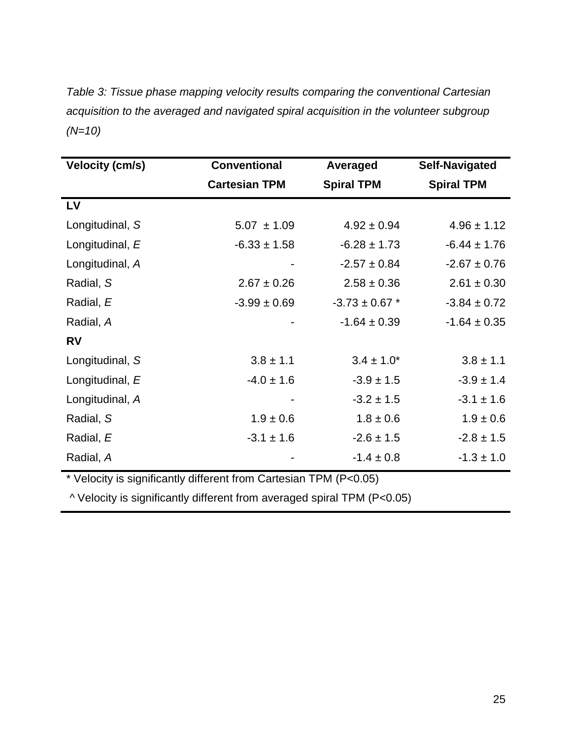<span id="page-24-0"></span>*Table 3: Tissue phase mapping velocity results comparing the conventional Cartesian acquisition to the averaged and navigated spiral acquisition in the volunteer subgroup (N=10)*

| <b>Velocity (cm/s)</b>                                            | <b>Conventional</b>  | Averaged           | <b>Self-Navigated</b> |
|-------------------------------------------------------------------|----------------------|--------------------|-----------------------|
|                                                                   | <b>Cartesian TPM</b> | <b>Spiral TPM</b>  | <b>Spiral TPM</b>     |
| LV                                                                |                      |                    |                       |
| Longitudinal, S                                                   | $5.07 \pm 1.09$      | $4.92 \pm 0.94$    | $4.96 \pm 1.12$       |
| Longitudinal, E                                                   | $-6.33 \pm 1.58$     | $-6.28 \pm 1.73$   | $-6.44 \pm 1.76$      |
| Longitudinal, A                                                   |                      | $-2.57 \pm 0.84$   | $-2.67 \pm 0.76$      |
| Radial, S                                                         | $2.67 \pm 0.26$      | $2.58 \pm 0.36$    | $2.61 \pm 0.30$       |
| Radial, E                                                         | $-3.99 \pm 0.69$     | $-3.73 \pm 0.67$ * | $-3.84 \pm 0.72$      |
| Radial, A                                                         |                      | $-1.64 \pm 0.39$   | $-1.64 \pm 0.35$      |
| <b>RV</b>                                                         |                      |                    |                       |
| Longitudinal, S                                                   | $3.8 \pm 1.1$        | $3.4 \pm 1.0^*$    | $3.8 \pm 1.1$         |
| Longitudinal, E                                                   | $-4.0 \pm 1.6$       | $-3.9 \pm 1.5$     | $-3.9 \pm 1.4$        |
| Longitudinal, A                                                   |                      | $-3.2 \pm 1.5$     | $-3.1 \pm 1.6$        |
| Radial, S                                                         | $1.9 \pm 0.6$        | $1.8 \pm 0.6$      | $1.9 \pm 0.6$         |
| Radial, E                                                         | $-3.1 \pm 1.6$       | $-2.6 \pm 1.5$     | $-2.8 \pm 1.5$        |
| Radial, A                                                         |                      | $-1.4 \pm 0.8$     | $-1.3 \pm 1.0$        |
| * Velocity is significantly different from Cartesian TPM (P<0.05) |                      |                    |                       |

^ Velocity is significantly different from averaged spiral TPM (P<0.05)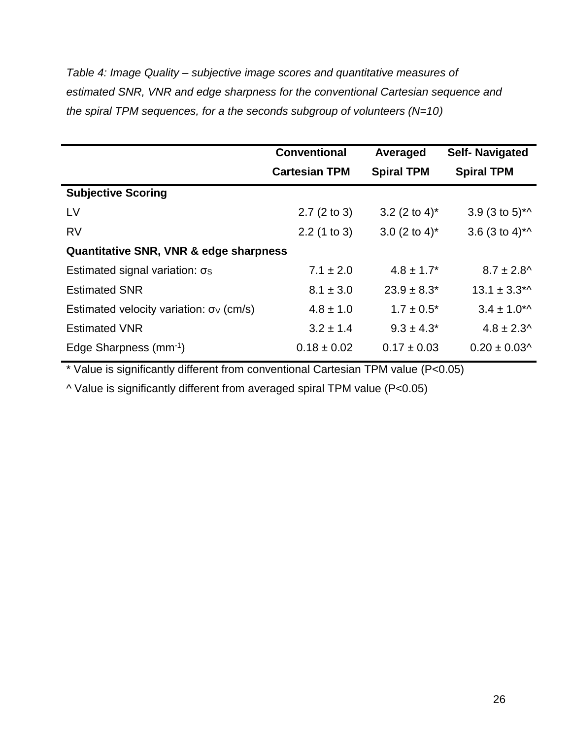<span id="page-25-0"></span>*Table 4: Image Quality – subjective image scores and quantitative measures of estimated SNR, VNR and edge sharpness for the conventional Cartesian sequence and the spiral TPM sequences, for a the seconds subgroup of volunteers (N=10)*

|                                                 | <b>Conventional</b>  | Averaged                  | <b>Self-Navigated</b>                          |  |
|-------------------------------------------------|----------------------|---------------------------|------------------------------------------------|--|
|                                                 | <b>Cartesian TPM</b> | <b>Spiral TPM</b>         | <b>Spiral TPM</b>                              |  |
| <b>Subjective Scoring</b>                       |                      |                           |                                                |  |
| LV                                              | 2.7(2 to 3)          | 3.2 (2 to 4) <sup>*</sup> | 3.9 $(3 \text{ to } 5)^*$                      |  |
| <b>RV</b>                                       | $2.2$ (1 to 3)       | 3.0 $(2 \text{ to } 4)^*$ | 3.6 $(3 \text{ to } 4)^*$                      |  |
| Quantitative SNR, VNR & edge sharpness          |                      |                           |                                                |  |
| Estimated signal variation: $\sigma$ s          | $7.1 \pm 2.0$        | $4.8 \pm 1.7^*$           | $8.7 \pm 2.8$ <sup>^</sup>                     |  |
| <b>Estimated SNR</b>                            | $8.1 \pm 3.0$        | $23.9 \pm 8.3^*$          | $13.1 \pm 3.3$ <sup>*</sup>                    |  |
| Estimated velocity variation: $\sigma_v$ (cm/s) | $4.8 \pm 1.0$        | $1.7 \pm 0.5^*$           | $3.4 \pm 1.0$ <sup>*</sup>                     |  |
| <b>Estimated VNR</b>                            | $3.2 \pm 1.4$        | $9.3 \pm 4.3^*$           | $4.8 \pm 2.3$ ^                                |  |
| Edge Sharpness (mm <sup>-1</sup> )              | $0.18 \pm 0.02$      | $0.17 \pm 0.03$           | $0.20 \pm 0.03$ <sup><math>\wedge</math></sup> |  |

\* Value is significantly different from conventional Cartesian TPM value (P<0.05)

^ Value is significantly different from averaged spiral TPM value (P<0.05)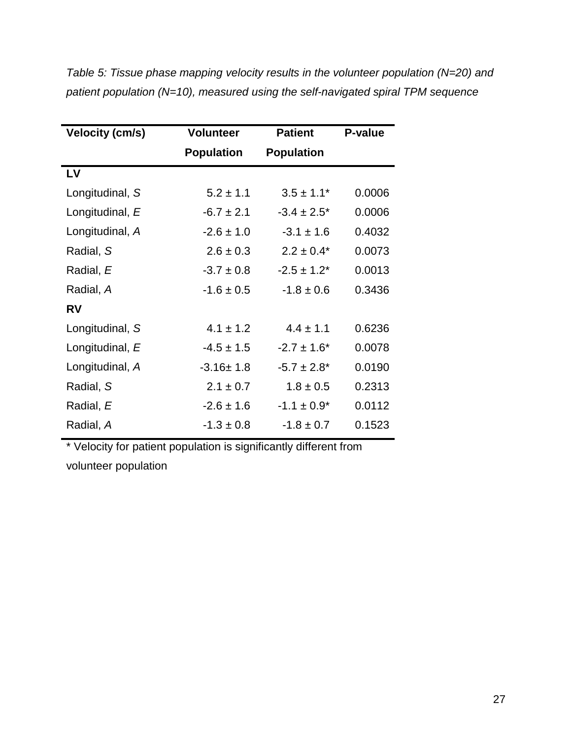| <b>Velocity (cm/s)</b> | <b>Volunteer</b>  | <b>Patient</b>    | P-value |
|------------------------|-------------------|-------------------|---------|
|                        | <b>Population</b> | <b>Population</b> |         |
| LV                     |                   |                   |         |
| Longitudinal, S        | $5.2 \pm 1.1$     | $3.5 \pm 1.1^*$   | 0.0006  |
| Longitudinal, E        | $-6.7 \pm 2.1$    | $-3.4 \pm 2.5^*$  | 0.0006  |
| Longitudinal, A        | $-2.6 \pm 1.0$    | $-3.1 \pm 1.6$    | 0.4032  |
| Radial, S              | $2.6 \pm 0.3$     | $2.2 \pm 0.4^*$   | 0.0073  |
| Radial, E              | $-3.7 \pm 0.8$    | $-2.5 \pm 1.2^*$  | 0.0013  |
| Radial, A              | $-1.6 \pm 0.5$    | $-1.8 \pm 0.6$    | 0.3436  |
| <b>RV</b>              |                   |                   |         |
| Longitudinal, S        | $4.1 \pm 1.2$     | $4.4 \pm 1.1$     | 0.6236  |
| Longitudinal, E        | $-4.5 \pm 1.5$    | $-2.7 \pm 1.6^*$  | 0.0078  |
| Longitudinal, A        | $-3.16 \pm 1.8$   | $-5.7 \pm 2.8^*$  | 0.0190  |
| Radial, S              | $2.1 \pm 0.7$     | $1.8 \pm 0.5$     | 0.2313  |
| Radial, E              | $-2.6 \pm 1.6$    | $-1.1 \pm 0.9^*$  | 0.0112  |
| Radial, A              | $-1.3 \pm 0.8$    | $-1.8 \pm 0.7$    | 0.1523  |

<span id="page-26-0"></span>*Table 5: Tissue phase mapping velocity results in the volunteer population (N=20) and patient population (N=10), measured using the self-navigated spiral TPM sequence* 

\* Velocity for patient population is significantly different from

volunteer population